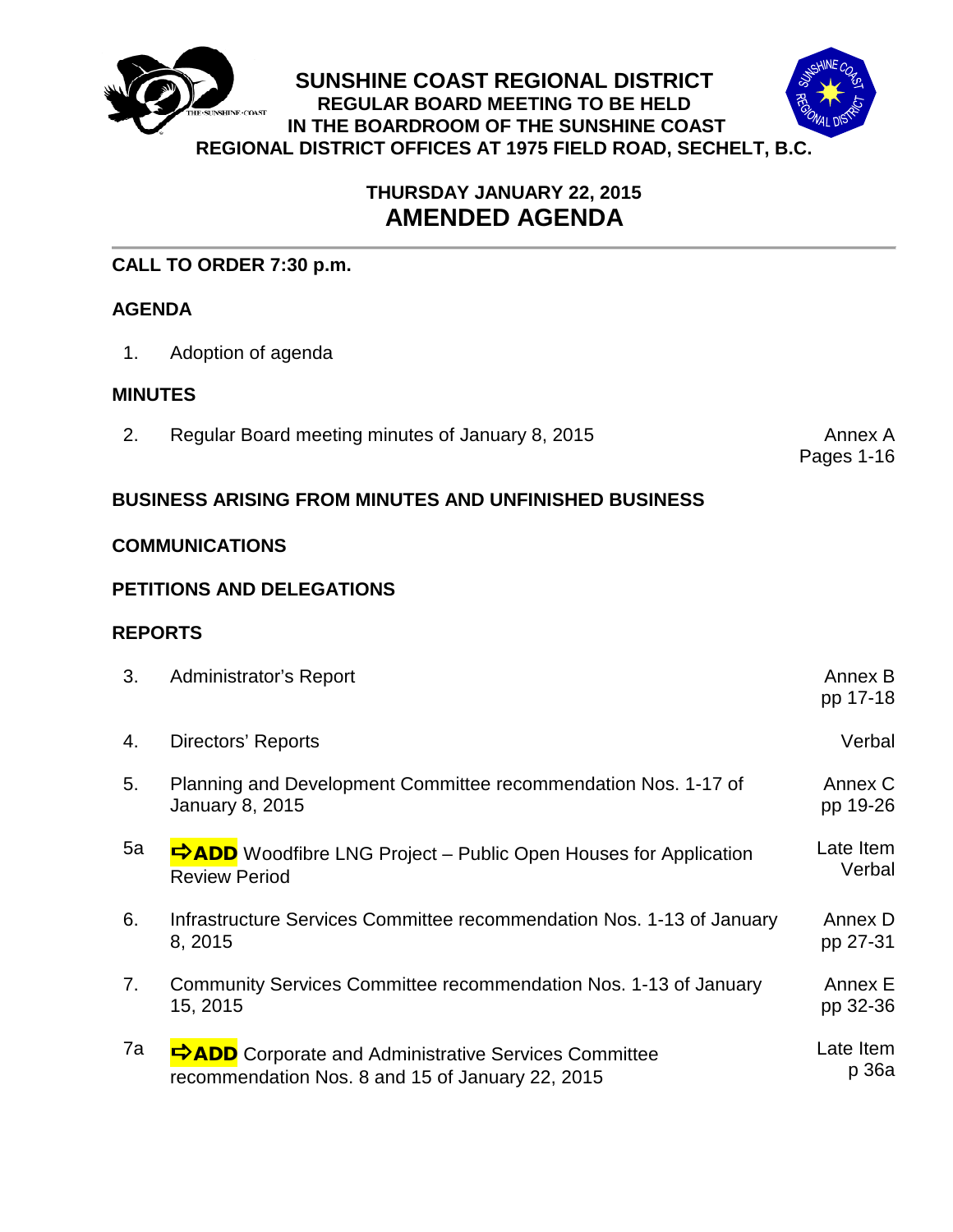

# **THURSDAY JANUARY 22, 2015 AMENDED AGENDA**

## **CALL TO ORDER 7:30 p.m.**

## **AGENDA**

1. Adoption of agenda

## **MINUTES**

2. Regular Board meeting minutes of January 8, 2015 **Annex A**nnex A

Pages 1-16

## **BUSINESS ARISING FROM MINUTES AND UNFINISHED BUSINESS**

### **COMMUNICATIONS**

## **PETITIONS AND DELEGATIONS**

### **REPORTS**

| 3. | <b>Administrator's Report</b>                                                                                   | Annex B<br>pp 17-18 |
|----|-----------------------------------------------------------------------------------------------------------------|---------------------|
| 4. | Directors' Reports                                                                                              | Verbal              |
| 5. | Planning and Development Committee recommendation Nos. 1-17 of<br><b>January 8, 2015</b>                        | Annex C<br>pp 19-26 |
| 5a | <b>DADD</b> Woodfibre LNG Project – Public Open Houses for Application<br><b>Review Period</b>                  | Late Item<br>Verbal |
| 6. | Infrastructure Services Committee recommendation Nos. 1-13 of January<br>8, 2015                                | Annex D<br>pp 27-31 |
| 7. | Community Services Committee recommendation Nos. 1-13 of January<br>15, 2015                                    | Annex E<br>pp 32-36 |
| 7a | <b>PADD</b> Corporate and Administrative Services Committee<br>recommendation Nos. 8 and 15 of January 22, 2015 | Late Item<br>p 36a  |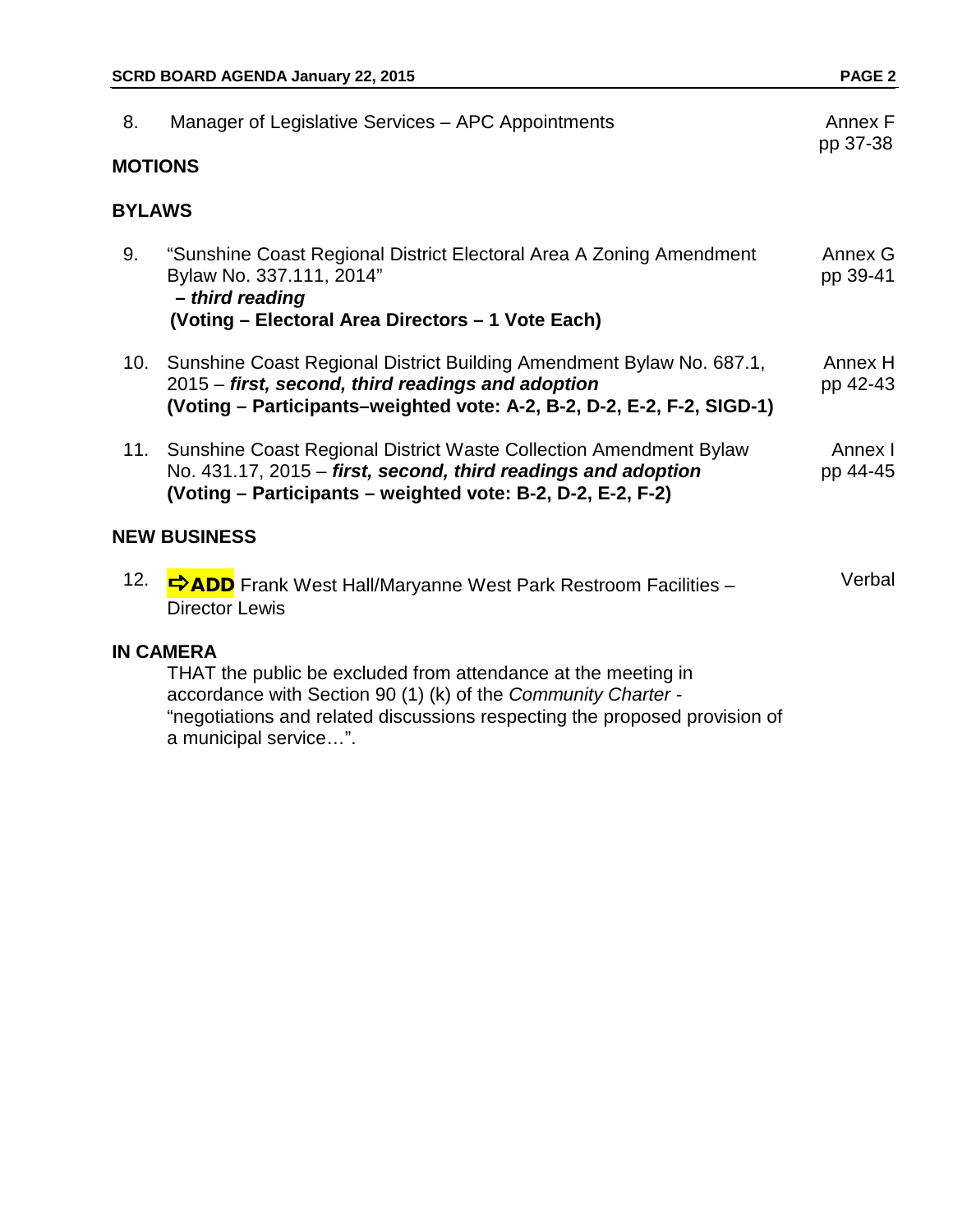| 8.                  | Manager of Legislative Services – APC Appointments                                                                                                                                                      | Annex F<br>pp 37-38 |  |
|---------------------|---------------------------------------------------------------------------------------------------------------------------------------------------------------------------------------------------------|---------------------|--|
| <b>MOTIONS</b>      |                                                                                                                                                                                                         |                     |  |
| <b>BYLAWS</b>       |                                                                                                                                                                                                         |                     |  |
| 9.                  | "Sunshine Coast Regional District Electoral Area A Zoning Amendment<br>Bylaw No. 337.111, 2014"<br>- third reading<br>(Voting - Electoral Area Directors - 1 Vote Each)                                 | Annex G<br>pp 39-41 |  |
|                     | 10. Sunshine Coast Regional District Building Amendment Bylaw No. 687.1,<br>2015 – first, second, third readings and adoption<br>(Voting – Participants–weighted vote: A-2, B-2, D-2, E-2, F-2, SIGD-1) | Annex H<br>pp 42-43 |  |
|                     | 11. Sunshine Coast Regional District Waste Collection Amendment Bylaw<br>No. 431.17, 2015 – first, second, third readings and adoption<br>(Voting – Participants – weighted vote: B-2, D-2, E-2, F-2)   | Annex I<br>pp 44-45 |  |
| <b>NEW BUSINESS</b> |                                                                                                                                                                                                         |                     |  |
| 12.                 | <b>⇒ADD</b> Frank West Hall/Maryanne West Park Restroom Facilities –<br><b>Director Lewis</b>                                                                                                           | Verbal              |  |
| <b>IN CAMERA</b>    |                                                                                                                                                                                                         |                     |  |

THAT the public be excluded from attendance at the meeting in accordance with Section 90 (1) (k) of the *Community Charter -* "negotiations and related discussions respecting the proposed provision of a municipal service…".